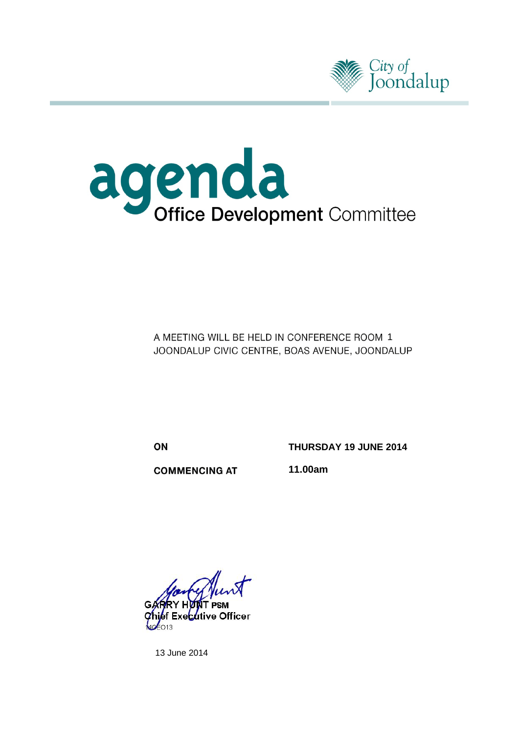



A MEETING WILL BE HELD IN CONFERENCE ROOM 1 JOONDALUP CIVIC CENTRE, BOAS AVENUE, JOONDALUP

ON

**THURSDAY 19 JUNE 2014**

**COMMENCING AT** 

**11.00am**

e Officer

13 June 2014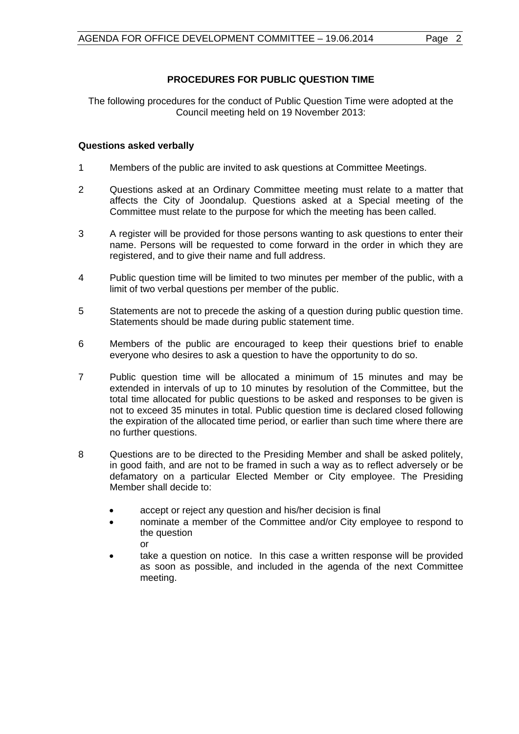# **PROCEDURES FOR PUBLIC QUESTION TIME**

The following procedures for the conduct of Public Question Time were adopted at the Council meeting held on 19 November 2013:

# **Questions asked verbally**

- 1 Members of the public are invited to ask questions at Committee Meetings.
- 2 Questions asked at an Ordinary Committee meeting must relate to a matter that affects the City of Joondalup. Questions asked at a Special meeting of the Committee must relate to the purpose for which the meeting has been called.
- 3 A register will be provided for those persons wanting to ask questions to enter their name. Persons will be requested to come forward in the order in which they are registered, and to give their name and full address.
- 4 Public question time will be limited to two minutes per member of the public, with a limit of two verbal questions per member of the public.
- 5 Statements are not to precede the asking of a question during public question time. Statements should be made during public statement time.
- 6 Members of the public are encouraged to keep their questions brief to enable everyone who desires to ask a question to have the opportunity to do so.
- 7 Public question time will be allocated a minimum of 15 minutes and may be extended in intervals of up to 10 minutes by resolution of the Committee, but the total time allocated for public questions to be asked and responses to be given is not to exceed 35 minutes in total. Public question time is declared closed following the expiration of the allocated time period, or earlier than such time where there are no further questions.
- 8 Questions are to be directed to the Presiding Member and shall be asked politely, in good faith, and are not to be framed in such a way as to reflect adversely or be defamatory on a particular Elected Member or City employee. The Presiding Member shall decide to:
	- accept or reject any question and his/her decision is final
	- nominate a member of the Committee and/or City employee to respond to the question or
	- take a question on notice. In this case a written response will be provided as soon as possible, and included in the agenda of the next Committee meeting.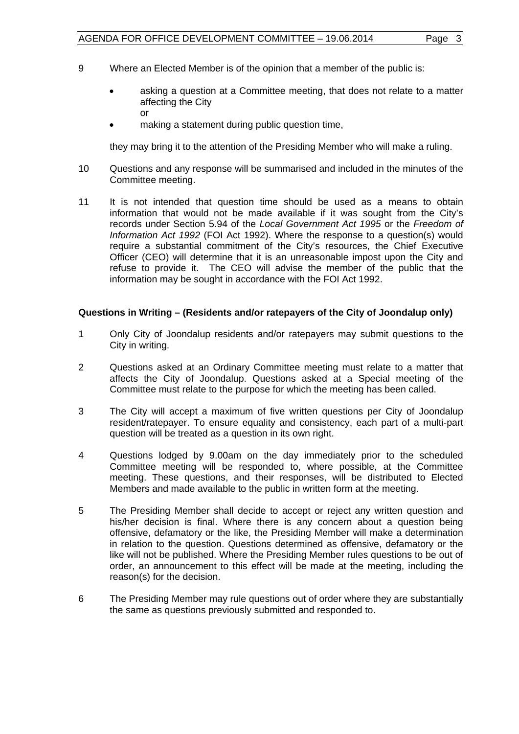- 9 Where an Elected Member is of the opinion that a member of the public is:
	- asking a question at a Committee meeting, that does not relate to a matter affecting the City or
	- making a statement during public question time,

they may bring it to the attention of the Presiding Member who will make a ruling.

- 10 Questions and any response will be summarised and included in the minutes of the Committee meeting.
- 11 It is not intended that question time should be used as a means to obtain information that would not be made available if it was sought from the City's records under Section 5.94 of the *Local Government Act 1995* or the *Freedom of Information Act 1992* (FOI Act 1992). Where the response to a question(s) would require a substantial commitment of the City's resources, the Chief Executive Officer (CEO) will determine that it is an unreasonable impost upon the City and refuse to provide it. The CEO will advise the member of the public that the information may be sought in accordance with the FOI Act 1992.

#### **Questions in Writing – (Residents and/or ratepayers of the City of Joondalup only)**

- 1 Only City of Joondalup residents and/or ratepayers may submit questions to the City in writing.
- 2 Questions asked at an Ordinary Committee meeting must relate to a matter that affects the City of Joondalup. Questions asked at a Special meeting of the Committee must relate to the purpose for which the meeting has been called.
- 3 The City will accept a maximum of five written questions per City of Joondalup resident/ratepayer. To ensure equality and consistency, each part of a multi-part question will be treated as a question in its own right.
- 4 Questions lodged by 9.00am on the day immediately prior to the scheduled Committee meeting will be responded to, where possible, at the Committee meeting. These questions, and their responses, will be distributed to Elected Members and made available to the public in written form at the meeting.
- 5 The Presiding Member shall decide to accept or reject any written question and his/her decision is final. Where there is any concern about a question being offensive, defamatory or the like, the Presiding Member will make a determination in relation to the question. Questions determined as offensive, defamatory or the like will not be published. Where the Presiding Member rules questions to be out of order, an announcement to this effect will be made at the meeting, including the reason(s) for the decision.
- 6 The Presiding Member may rule questions out of order where they are substantially the same as questions previously submitted and responded to.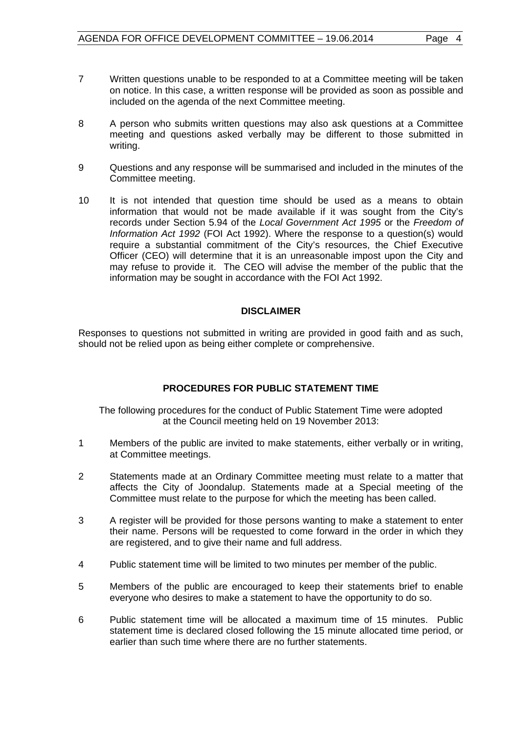- 7 Written questions unable to be responded to at a Committee meeting will be taken on notice. In this case, a written response will be provided as soon as possible and included on the agenda of the next Committee meeting.
- 8 A person who submits written questions may also ask questions at a Committee meeting and questions asked verbally may be different to those submitted in writing.
- 9 Questions and any response will be summarised and included in the minutes of the Committee meeting.
- 10 It is not intended that question time should be used as a means to obtain information that would not be made available if it was sought from the City's records under Section 5.94 of the *Local Government Act 1995* or the *Freedom of Information Act 1992* (FOI Act 1992). Where the response to a question(s) would require a substantial commitment of the City's resources, the Chief Executive Officer (CEO) will determine that it is an unreasonable impost upon the City and may refuse to provide it. The CEO will advise the member of the public that the information may be sought in accordance with the FOI Act 1992.

#### **DISCLAIMER**

Responses to questions not submitted in writing are provided in good faith and as such, should not be relied upon as being either complete or comprehensive.

# **PROCEDURES FOR PUBLIC STATEMENT TIME**

The following procedures for the conduct of Public Statement Time were adopted at the Council meeting held on 19 November 2013:

- 1 Members of the public are invited to make statements, either verbally or in writing, at Committee meetings.
- 2 Statements made at an Ordinary Committee meeting must relate to a matter that affects the City of Joondalup. Statements made at a Special meeting of the Committee must relate to the purpose for which the meeting has been called.
- 3 A register will be provided for those persons wanting to make a statement to enter their name. Persons will be requested to come forward in the order in which they are registered, and to give their name and full address.
- 4 Public statement time will be limited to two minutes per member of the public.
- 5 Members of the public are encouraged to keep their statements brief to enable everyone who desires to make a statement to have the opportunity to do so.
- 6 Public statement time will be allocated a maximum time of 15 minutes. Public statement time is declared closed following the 15 minute allocated time period, or earlier than such time where there are no further statements.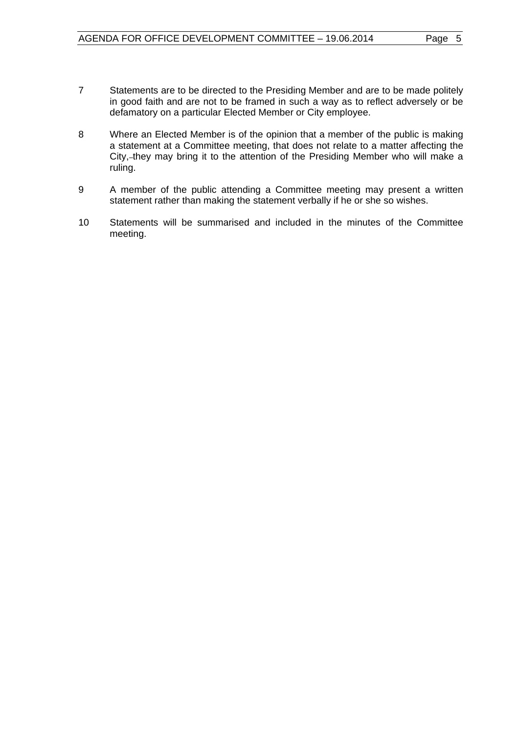- 7 Statements are to be directed to the Presiding Member and are to be made politely in good faith and are not to be framed in such a way as to reflect adversely or be defamatory on a particular Elected Member or City employee.
- 8 Where an Elected Member is of the opinion that a member of the public is making a statement at a Committee meeting, that does not relate to a matter affecting the City, they may bring it to the attention of the Presiding Member who will make a ruling.
- 9 A member of the public attending a Committee meeting may present a written statement rather than making the statement verbally if he or she so wishes.
- 10 Statements will be summarised and included in the minutes of the Committee meeting.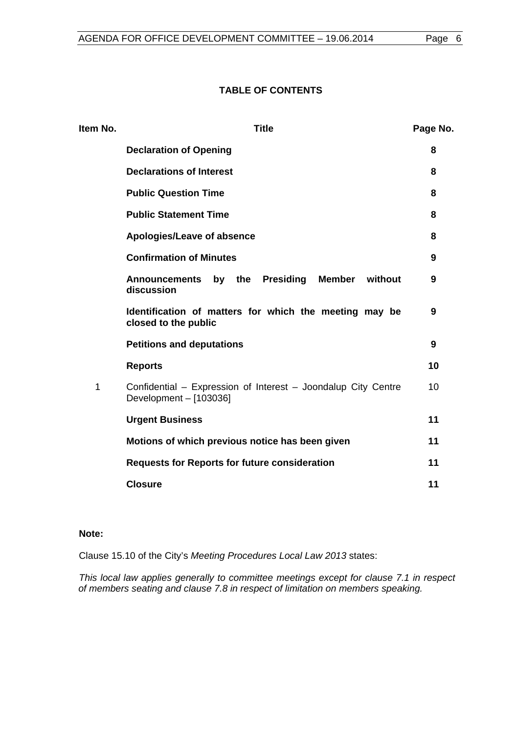# **TABLE OF CONTENTS**

| Item No. | <b>Title</b>                                                                            |    |  |
|----------|-----------------------------------------------------------------------------------------|----|--|
|          | <b>Declaration of Opening</b>                                                           | 8  |  |
|          | <b>Declarations of Interest</b>                                                         | 8  |  |
|          | <b>Public Question Time</b>                                                             | 8  |  |
|          | <b>Public Statement Time</b>                                                            | 8  |  |
|          | Apologies/Leave of absence                                                              | 8  |  |
|          | <b>Confirmation of Minutes</b>                                                          | 9  |  |
|          | <b>Presiding</b><br>Member<br>without<br><b>Announcements</b><br>by the<br>discussion   | 9  |  |
|          | Identification of matters for which the meeting may be<br>closed to the public          | 9  |  |
|          | <b>Petitions and deputations</b>                                                        | 9  |  |
|          | <b>Reports</b>                                                                          | 10 |  |
| 1        | Confidential - Expression of Interest - Joondalup City Centre<br>Development - [103036] | 10 |  |
|          | <b>Urgent Business</b>                                                                  | 11 |  |
|          | Motions of which previous notice has been given                                         | 11 |  |
|          | <b>Requests for Reports for future consideration</b>                                    | 11 |  |
|          | <b>Closure</b>                                                                          | 11 |  |

# **Note:**

Clause 15.10 of the City's *Meeting Procedures Local Law 2013* states:

*This local law applies generally to committee meetings except for clause 7.1 in respect of members seating and clause 7.8 in respect of limitation on members speaking.*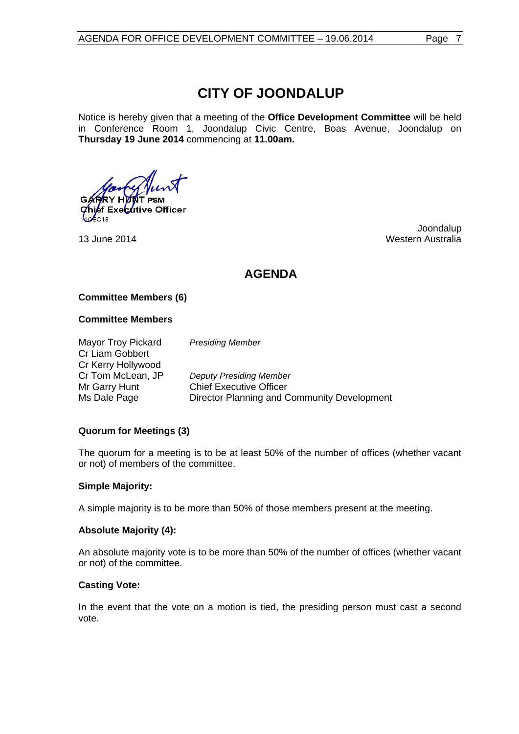# **CITY OF JOONDALUP**

Notice is hereby given that a meeting of the **Office Development Committee** will be held in Conference Room 1, Joondalup Civic Centre, Boas Avenue, Joondalup on **Thursday 19 June 2014** commencing at **11.00am.**

**IT PSM Executive Officer** 

 Joondalup 13 June 2014 Western Australia

# **AGENDA**

#### **Committee Members (6)**

#### **Committee Members**

Mayor Troy Pickard *Presiding Member* Cr Liam Gobbert Cr Kerry Hollywood

Cr Tom McLean, JP *Deputy Presiding Member* Mr Garry Hunt Chief Executive Officer Ms Dale Page Director Planning and Community Development

#### **Quorum for Meetings (3)**

The quorum for a meeting is to be at least 50% of the number of offices (whether vacant or not) of members of the committee.

#### **Simple Majority:**

A simple majority is to be more than 50% of those members present at the meeting.

#### **Absolute Majority (4):**

An absolute majority vote is to be more than 50% of the number of offices (whether vacant or not) of the committee.

#### **Casting Vote:**

In the event that the vote on a motion is tied, the presiding person must cast a second vote.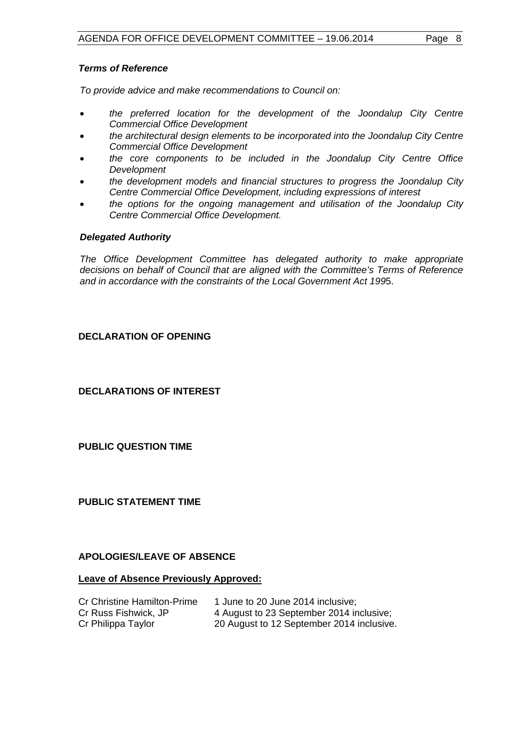#### *Terms of Reference*

*To provide advice and make recommendations to Council on:*

- *the preferred location for the development of the Joondalup City Centre Commercial Office Development*
- *the architectural design elements to be incorporated into the Joondalup City Centre Commercial Office Development*
- *the core components to be included in the Joondalup City Centre Office Development*
- *the development models and financial structures to progress the Joondalup City Centre Commercial Office Development, including expressions of interest*
- *the options for the ongoing management and utilisation of the Joondalup City Centre Commercial Office Development.*

# *Delegated Authority*

*The Office Development Committee has delegated authority to make appropriate decisions on behalf of Council that are aligned with the Committee's Terms of Reference and in accordance with the constraints of the Local Government Act 199*5.

# <span id="page-7-0"></span>**DECLARATION OF OPENING**

<span id="page-7-1"></span>**DECLARATIONS OF INTEREST**

<span id="page-7-2"></span>**PUBLIC QUESTION TIME**

<span id="page-7-3"></span>**PUBLIC STATEMENT TIME**

#### <span id="page-7-4"></span>**APOLOGIES/LEAVE OF ABSENCE**

#### **Leave of Absence Previously Approved:**

| <b>Cr Christine Hamilton-Prime</b> | 1 June to 20 June 2014 inclusive;         |
|------------------------------------|-------------------------------------------|
| Cr Russ Fishwick, JP               | 4 August to 23 September 2014 inclusive;  |
| Cr Philippa Taylor                 | 20 August to 12 September 2014 inclusive. |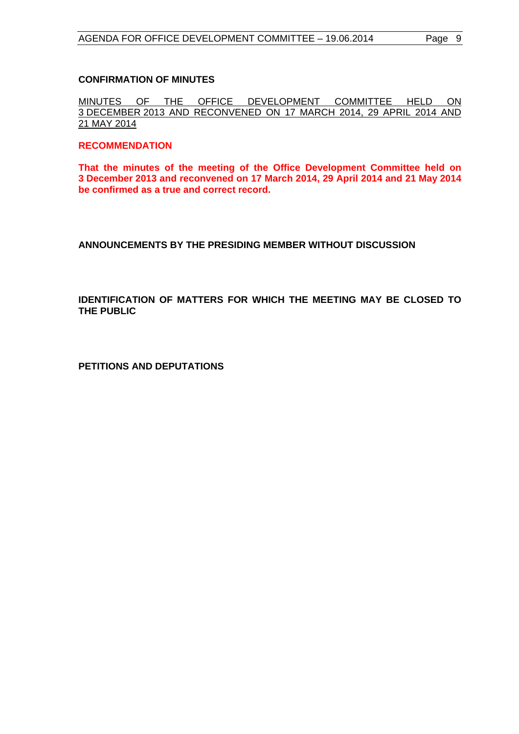#### <span id="page-8-0"></span>**CONFIRMATION OF MINUTES**

MINUTES OF THE OFFICE DEVELOPMENT COMMITTEE HELD ON 3 DECEMBER 2013 AND RECONVENED ON 17 MARCH 2014, 29 APRIL 2014 AND 21 MAY 2014

#### **RECOMMENDATION**

**That the minutes of the meeting of the Office Development Committee held on 3 December 2013 and reconvened on 17 March 2014, 29 April 2014 and 21 May 2014 be confirmed as a true and correct record.**

#### <span id="page-8-1"></span>**ANNOUNCEMENTS BY THE PRESIDING MEMBER WITHOUT DISCUSSION**

<span id="page-8-2"></span>**IDENTIFICATION OF MATTERS FOR WHICH THE MEETING MAY BE CLOSED TO THE PUBLIC**

<span id="page-8-3"></span>**PETITIONS AND DEPUTATIONS**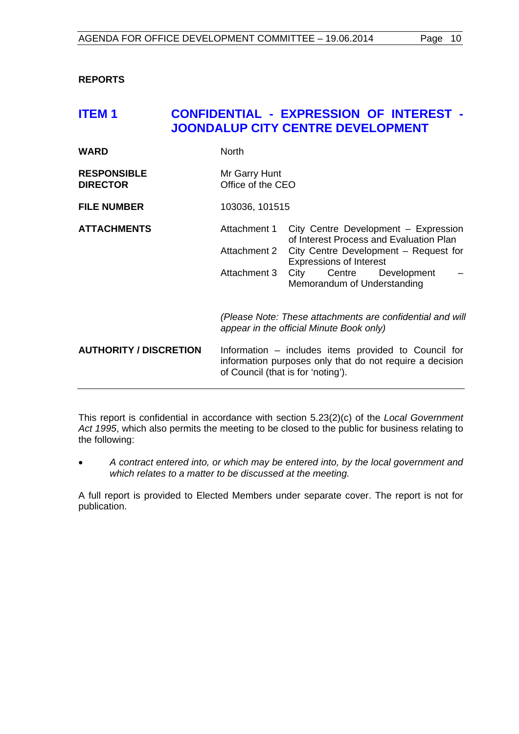#### <span id="page-9-0"></span>**REPORTS**

# <span id="page-9-1"></span>**ITEM 1 CONFIDENTIAL - EXPRESSION OF INTEREST - JOONDALUP CITY CENTRE DEVELOPMENT**

| <b>WARD</b>                           | <b>North</b>                                                                                                                                           |                                                                                                                          |  |
|---------------------------------------|--------------------------------------------------------------------------------------------------------------------------------------------------------|--------------------------------------------------------------------------------------------------------------------------|--|
| <b>RESPONSIBLE</b><br><b>DIRECTOR</b> | Mr Garry Hunt<br>Office of the CEO                                                                                                                     |                                                                                                                          |  |
| <b>FILE NUMBER</b>                    | 103036, 101515                                                                                                                                         |                                                                                                                          |  |
| <b>ATTACHMENTS</b>                    | Attachment 1<br>Attachment 2                                                                                                                           | City Centre Development - Expression<br>of Interest Process and Evaluation Plan<br>City Centre Development – Request for |  |
|                                       |                                                                                                                                                        | <b>Expressions of Interest</b>                                                                                           |  |
|                                       | Attachment 3                                                                                                                                           | City Centre Development<br>Memorandum of Understanding                                                                   |  |
|                                       | (Please Note: These attachments are confidential and will<br>appear in the official Minute Book only)                                                  |                                                                                                                          |  |
| <b>AUTHORITY / DISCRETION</b>         | Information – includes items provided to Council for<br>information purposes only that do not require a decision<br>of Council (that is for 'noting'). |                                                                                                                          |  |

This report is confidential in accordance with section 5.23(2)(c) of the *Local Government Act 1995*, which also permits the meeting to be closed to the public for business relating to the following:

• *A contract entered into, or which may be entered into, by the local government and which relates to a matter to be discussed at the meeting.*

A full report is provided to Elected Members under separate cover. The report is not for publication.